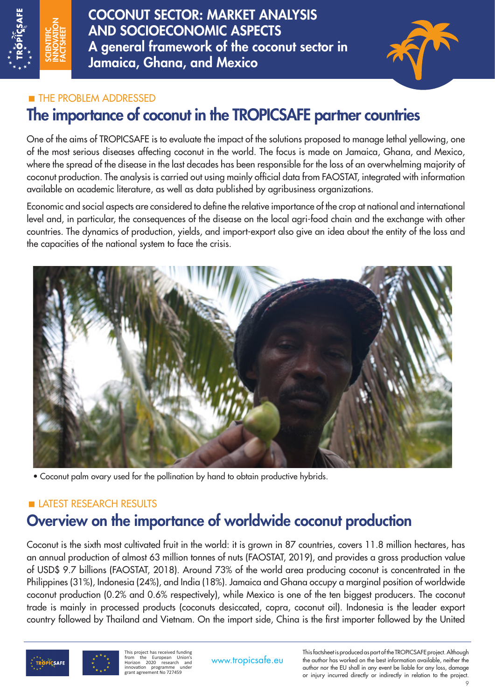

COCONUT SECTOR: MARKET ANALYSIS AND SOCIOECONOMIC ASPECTS A general framework of the coconut sector in Jamaica, Ghana, and Mexico



## **THE PROBLEM ADDRESSED**

# The importance of coconut in the TROPICSAFE partner countries

One of the aims of TROPICSAFE is to evaluate the impact of the solutions proposed to manage lethal yellowing, one of the most serious diseases affecting coconut in the world. The focus is made on Jamaica, Ghana, and Mexico, where the spread of the disease in the last decades has been responsible for the loss of an overwhelming majority of coconut production. The analysis is carried out using mainly official data from FAOSTAT, integrated with information available on academic literature, as well as data published by agribusiness organizations.

Economic and social aspects are considered to define the relative importance of the crop at national and international level and, in particular, the consequences of the disease on the local agri-food chain and the exchange with other countries. The dynamics of production, yields, and import-export also give an idea about the entity of the loss and the capacities of the national system to face the crisis.



• Coconut palm ovary used for the pollination by hand to obtain productive hybrids.

## LATEST RESEARCH RESULTS

# Overview on the importance of worldwide coconut production

Coconut is the sixth most cultivated fruit in the world: it is grown in 87 countries, covers 11.8 million hectares, has an annual production of almost 63 million tonnes of nuts (FAOSTAT, 2019), and provides a gross production value of USD\$ 9.7 billions (FAOSTAT, 2018). Around 73% of the world area producing coconut is concentrated in the Philippines (31%), Indonesia (24%), and India (18%). Jamaica and Ghana occupy a marginal position of worldwide coconut production (0.2% and 0.6% respectively), while Mexico is one of the ten biggest producers. The coconut trade is mainly in processed products (coconuts desiccated, copra, coconut oil). Indonesia is the leader export country followed by Thailand and Vietnam. On the import side, China is the first importer followed by the United

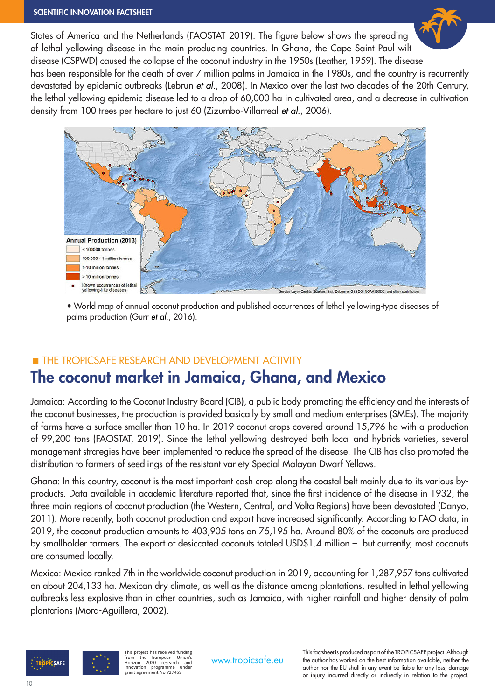### SCIENTIFIC INNOVATION FACTSHEET

States of America and the Netherlands (FAOSTAT 2019). The figure below shows the spreading of lethal yellowing disease in the main producing countries. In Ghana, the Cape Saint Paul wilt disease (CSPWD) caused the collapse of the coconut industry in the 1950s (Leather, 1959). The disease has been responsible for the death of over 7 million palms in Jamaica in the 1980s, and the country is recurrently devastated by epidemic outbreaks (Lebrun *et al.*, 2008). In Mexico over the last two decades of the 20th Century, the lethal yellowing epidemic disease led to a drop of 60,000 ha in cultivated area, and a decrease in cultivation density from 100 trees per hectare to just 60 (Zizumbo-Villarreal *et al.*, 2006).



• World map of annual coconut production and published occurrences of lethal yellowing-type diseases of palms production (Gurr *et al.*, 2016).

## **THE TROPICSAFE RESEARCH AND DEVELOPMENT ACTIVITY**

# The coconut market in Jamaica, Ghana, and Mexico

Jamaica: According to the Coconut Industry Board (CIB), a public body promoting the efficiency and the interests of the coconut businesses, the production is provided basically by small and medium enterprises (SMEs). The majority of farms have a surface smaller than 10 ha. In 2019 coconut crops covered around 15,796 ha with a production of 99,200 tons (FAOSTAT, 2019). Since the lethal yellowing destroyed both local and hybrids varieties, several management strategies have been implemented to reduce the spread of the disease. The CIB has also promoted the distribution to farmers of seedlings of the resistant variety Special Malayan Dwarf Yellows.

Ghana: In this country, coconut is the most important cash crop along the coastal belt mainly due to its various byproducts. Data available in academic literature reported that, since the first incidence of the disease in 1932, the three main regions of coconut production (the Western, Central, and Volta Regions) have been devastated (Danyo, 2011). More recently, both coconut production and export have increased significantly. According to FAO data, in 2019, the coconut production amounts to 403,905 tons on 75,195 ha. Around 80% of the coconuts are produced by smallholder farmers. The export of desiccated coconuts totaled USD\$1.4 million – but currently, most coconuts are consumed locally.

Mexico: Mexico ranked 7th in the worldwide coconut production in 2019, accounting for 1,287,957 tons cultivated on about 204,133 ha. Mexican dry climate, as well as the distance among plantations, resulted in lethal yellowing outbreaks less explosive than in other countries, such as Jamaica, with higher rainfall and higher density of palm plantations (Mora-Aguillera, 2002).

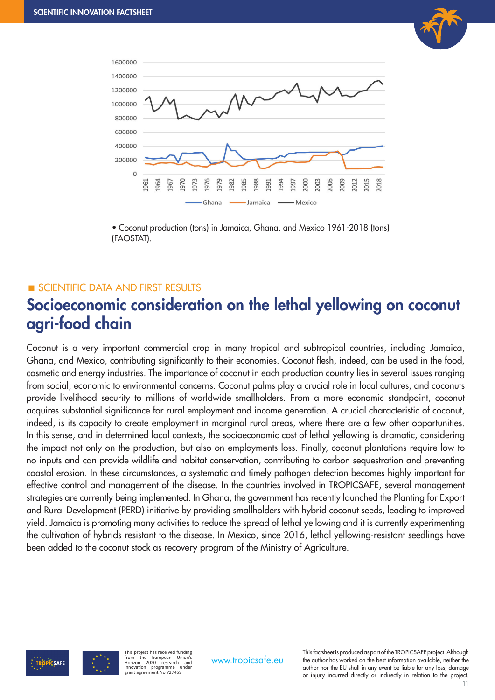



• Coconut production (tons) in Jamaica, Ghana, and Mexico 1961-2018 (tons) (FAOSTAT).

### **SCIENTIFIC DATA AND FIRST RESULTS**

# Socioeconomic consideration on the lethal yellowing on coconut agri-food chain

Coconut is a very important commercial crop in many tropical and subtropical countries, including Jamaica, Ghana, and Mexico, contributing significantly to their economies. Coconut flesh, indeed, can be used in the food, cosmetic and energy industries. The importance of coconut in each production country lies in several issues ranging from social, economic to environmental concerns. Coconut palms play a crucial role in local cultures, and coconuts provide livelihood security to millions of worldwide smallholders. From a more economic standpoint, coconut acquires substantial significance for rural employment and income generation. A crucial characteristic of coconut, indeed, is its capacity to create employment in marginal rural areas, where there are a few other opportunities. In this sense, and in determined local contexts, the socioeconomic cost of lethal yellowing is dramatic, considering the impact not only on the production, but also on employments loss. Finally, coconut plantations require low to no inputs and can provide wildlife and habitat conservation, contributing to carbon sequestration and preventing coastal erosion. In these circumstances, a systematic and timely pathogen detection becomes highly important for effective control and management of the disease. In the countries involved in TROPICSAFE, several management strategies are currently being implemented. In Ghana, the government has recently launched the Planting for Export and Rural Development (PERD) initiative by providing smallholders with hybrid coconut seeds, leading to improved yield. Jamaica is promoting many activities to reduce the spread of lethal yellowing and it is currently experimenting the cultivation of hybrids resistant to the disease. In Mexico, since 2016, lethal yellowing-resistant seedlings have been added to the coconut stock as recovery program of the Ministry of Agriculture.



This project has received funding from the European Union's Horizon 2020 research and innovation programme under grant agreement No 727459

This factsheet is produced as part of the TROPICSAFE project. Although<br>www.tropicsafe.eu the author has worked on the best information available, neither the author nor the EU shall in any event be liable for any loss, damage or injury incurred directly or indirectly in relation to the project.